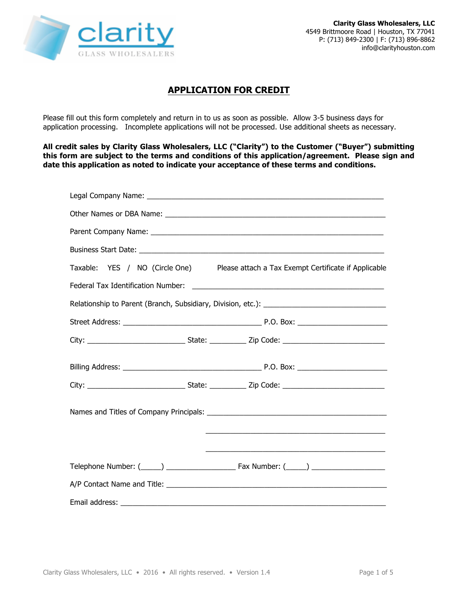

## **APPLICATION FOR CREDIT**

Please fill out this form completely and return in to us as soon as possible. Allow 3-5 business days for application processing. Incomplete applications will not be processed. Use additional sheets as necessary.

**All credit sales by Clarity Glass Wholesalers, LLC ("Clarity") to the Customer ("Buyer") submitting this form are subject to the terms and conditions of this application/agreement. Please sign and date this application as noted to indicate your acceptance of these terms and conditions.**

| Taxable: YES / NO (Circle One) Please attach a Tax Exempt Certificate if Applicable |
|-------------------------------------------------------------------------------------|
|                                                                                     |
| Relationship to Parent (Branch, Subsidiary, Division, etc.): ____________________   |
|                                                                                     |
|                                                                                     |
|                                                                                     |
|                                                                                     |
|                                                                                     |
|                                                                                     |
|                                                                                     |
|                                                                                     |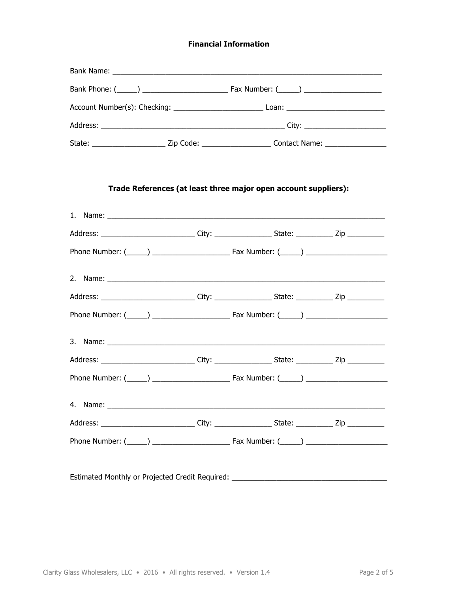## **Financial Information**

|  | State: ____________________________Zip Code: __________________________Contact Name: ____________________     |  |
|--|---------------------------------------------------------------------------------------------------------------|--|
|  | Trade References (at least three major open account suppliers):                                               |  |
|  |                                                                                                               |  |
|  | Address: ______________________________City: ______________________State: ______________Zip _____________     |  |
|  |                                                                                                               |  |
|  |                                                                                                               |  |
|  | Address: ______________________________City: ______________________State: ______________Zip _____________     |  |
|  |                                                                                                               |  |
|  |                                                                                                               |  |
|  | Address: ______________________________City: _______________________State: ________________Zip ______________ |  |
|  |                                                                                                               |  |
|  |                                                                                                               |  |
|  | Address: _____________________________City: _______________________State: ______________Zip _____________     |  |
|  |                                                                                                               |  |
|  | Estimated Monthly or Projected Credit Required: ________________________________                              |  |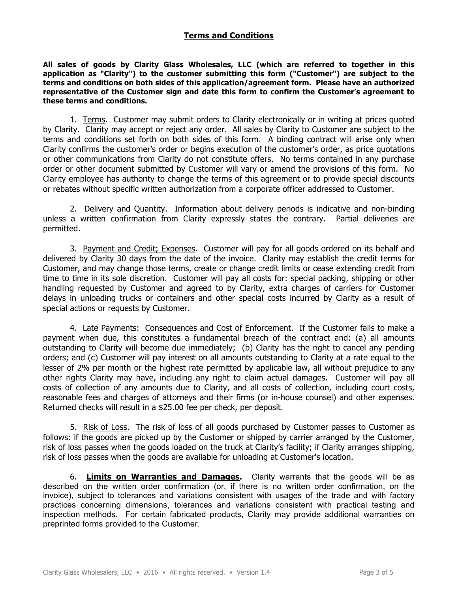## **Terms and Conditions**

**All sales of goods by Clarity Glass Wholesales, LLC (which are referred to together in this application as "Clarity") to the customer submitting this form ("Customer") are subject to the terms and conditions on both sides of this application/agreement form. Please have an authorized representative of the Customer sign and date this form to confirm the Customer's agreement to these terms and conditions.**

1. Terms. Customer may submit orders to Clarity electronically or in writing at prices quoted by Clarity. Clarity may accept or reject any order. All sales by Clarity to Customer are subject to the terms and conditions set forth on both sides of this form. A binding contract will arise only when Clarity confirms the customer's order or begins execution of the customer's order, as price quotations or other communications from Clarity do not constitute offers. No terms contained in any purchase order or other document submitted by Customer will vary or amend the provisions of this form. No Clarity employee has authority to change the terms of this agreement or to provide special discounts or rebates without specific written authorization from a corporate officer addressed to Customer.

2. Delivery and Quantity. Information about delivery periods is indicative and non-binding unless a written confirmation from Clarity expressly states the contrary. Partial deliveries are permitted.

3. Payment and Credit; Expenses. Customer will pay for all goods ordered on its behalf and delivered by Clarity 30 days from the date of the invoice. Clarity may establish the credit terms for Customer, and may change those terms, create or change credit limits or cease extending credit from time to time in its sole discretion. Customer will pay all costs for: special packing, shipping or other handling requested by Customer and agreed to by Clarity, extra charges of carriers for Customer delays in unloading trucks or containers and other special costs incurred by Clarity as a result of special actions or requests by Customer.

4. Late Payments: Consequences and Cost of Enforcement. If the Customer fails to make a payment when due, this constitutes a fundamental breach of the contract and: (a) all amounts outstanding to Clarity will become due immediately; (b) Clarity has the right to cancel any pending orders; and (c) Customer will pay interest on all amounts outstanding to Clarity at a rate equal to the lesser of 2% per month or the highest rate permitted by applicable law, all without prejudice to any other rights Clarity may have, including any right to claim actual damages. Customer will pay all costs of collection of any amounts due to Clarity, and all costs of collection, including court costs, reasonable fees and charges of attorneys and their firms (or in-house counsel) and other expenses. Returned checks will result in a \$25.00 fee per check, per deposit.

5. Risk of Loss. The risk of loss of all goods purchased by Customer passes to Customer as follows: if the goods are picked up by the Customer or shipped by carrier arranged by the Customer, risk of loss passes when the goods loaded on the truck at Clarity's facility; if Clarity arranges shipping, risk of loss passes when the goods are available for unloading at Customer's location.

6. **Limits on Warranties and Damages.** Clarity warrants that the goods will be as described on the written order confirmation (or, if there is no written order confirmation, on the invoice), subject to tolerances and variations consistent with usages of the trade and with factory practices concerning dimensions, tolerances and variations consistent with practical testing and inspection methods. For certain fabricated products, Clarity may provide additional warranties on preprinted forms provided to the Customer.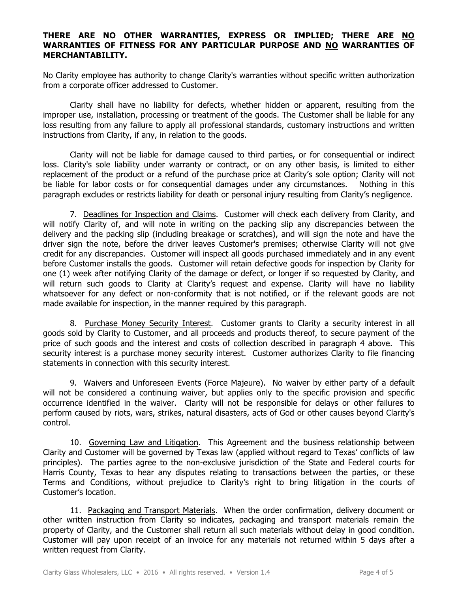## **THERE ARE NO OTHER WARRANTIES, EXPRESS OR IMPLIED; THERE ARE NO WARRANTIES OF FITNESS FOR ANY PARTICULAR PURPOSE AND NO WARRANTIES OF MERCHANTABILITY.**

No Clarity employee has authority to change Clarity's warranties without specific written authorization from a corporate officer addressed to Customer.

Clarity shall have no liability for defects, whether hidden or apparent, resulting from the improper use, installation, processing or treatment of the goods. The Customer shall be liable for any loss resulting from any failure to apply all professional standards, customary instructions and written instructions from Clarity, if any, in relation to the goods.

Clarity will not be liable for damage caused to third parties, or for consequential or indirect loss. Clarity's sole liability under warranty or contract, or on any other basis, is limited to either replacement of the product or a refund of the purchase price at Clarity's sole option; Clarity will not be liable for labor costs or for consequential damages under any circumstances. Nothing in this paragraph excludes or restricts liability for death or personal injury resulting from Clarity's negligence.

7. Deadlines for Inspection and Claims. Customer will check each delivery from Clarity, and will notify Clarity of, and will note in writing on the packing slip any discrepancies between the delivery and the packing slip (including breakage or scratches), and will sign the note and have the driver sign the note, before the driver leaves Customer's premises; otherwise Clarity will not give credit for any discrepancies. Customer will inspect all goods purchased immediately and in any event before Customer installs the goods. Customer will retain defective goods for inspection by Clarity for one (1) week after notifying Clarity of the damage or defect, or longer if so requested by Clarity, and will return such goods to Clarity at Clarity's request and expense. Clarity will have no liability whatsoever for any defect or non-conformity that is not notified, or if the relevant goods are not made available for inspection, in the manner required by this paragraph.

8. Purchase Money Security Interest. Customer grants to Clarity a security interest in all goods sold by Clarity to Customer, and all proceeds and products thereof, to secure payment of the price of such goods and the interest and costs of collection described in paragraph 4 above. This security interest is a purchase money security interest. Customer authorizes Clarity to file financing statements in connection with this security interest.

9. Waivers and Unforeseen Events (Force Majeure). No waiver by either party of a default will not be considered a continuing waiver, but applies only to the specific provision and specific occurrence identified in the waiver. Clarity will not be responsible for delays or other failures to perform caused by riots, wars, strikes, natural disasters, acts of God or other causes beyond Clarity's control.

10. Governing Law and Litigation. This Agreement and the business relationship between Clarity and Customer will be governed by Texas law (applied without regard to Texas' conflicts of law principles). The parties agree to the non-exclusive jurisdiction of the State and Federal courts for Harris County, Texas to hear any disputes relating to transactions between the parties, or these Terms and Conditions, without prejudice to Clarity's right to bring litigation in the courts of Customer's location.

11. Packaging and Transport Materials.When the order confirmation, delivery document or other written instruction from Clarity so indicates, packaging and transport materials remain the property of Clarity, and the Customer shall return all such materials without delay in good condition. Customer will pay upon receipt of an invoice for any materials not returned within 5 days after a written request from Clarity.